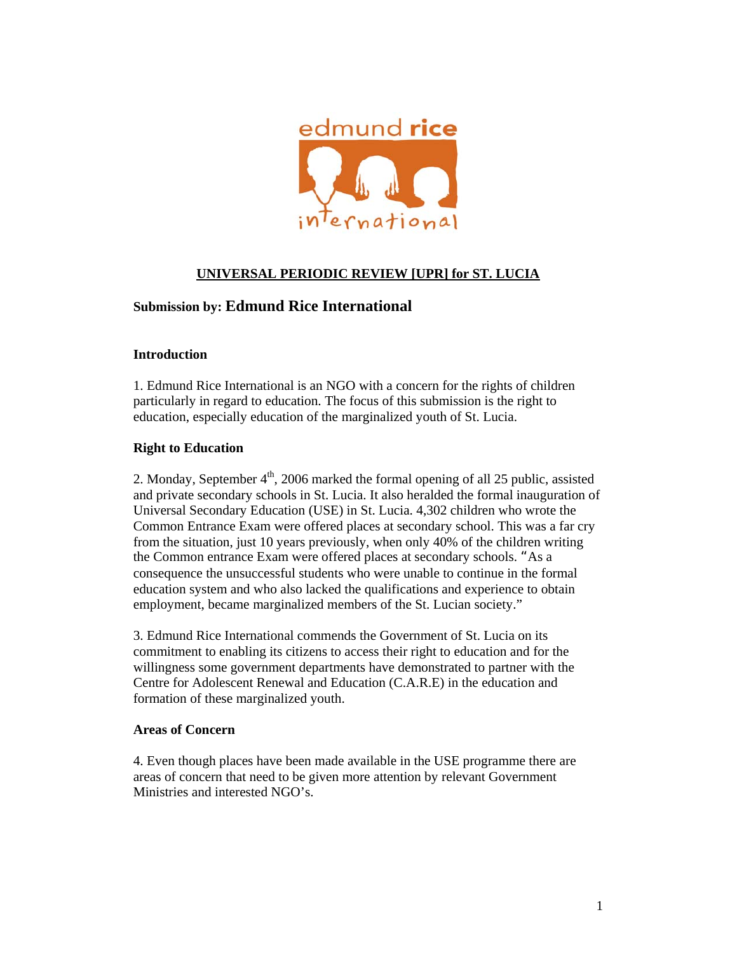

# **UNIVERSAL PERIODIC REVIEW [UPR] for ST. LUCIA**

# **Submission by: Edmund Rice International**

### **Introduction**

1. Edmund Rice International is an NGO with a concern for the rights of children particularly in regard to education. The focus of this submission is the right to education, especially education of the marginalized youth of St. Lucia.

#### **Right to Education**

2. Monday, September  $4<sup>th</sup>$ , 2006 marked the formal opening of all 25 public, assisted and private secondary schools in St. Lucia. It also heralded the formal inauguration of Universal Secondary Education (USE) in St. Lucia. 4,302 children who wrote the Common Entrance Exam were offered places at secondary school. This was a far cry from the situation, just 10 years previously, when only 40% of the children writing the Common entrance Exam were offered places at secondary schools. "As a consequence the unsuccessful students who were unable to continue in the formal education system and who also lacked the qualifications and experience to obtain employment, became marginalized members of the St. Lucian society."

3. Edmund Rice International commends the Government of St. Lucia on its commitment to enabling its citizens to access their right to education and for the willingness some government departments have demonstrated to partner with the Centre for Adolescent Renewal and Education (C.A.R.E) in the education and formation of these marginalized youth.

#### **Areas of Concern**

4. Even though places have been made available in the USE programme there are areas of concern that need to be given more attention by relevant Government Ministries and interested NGO's.